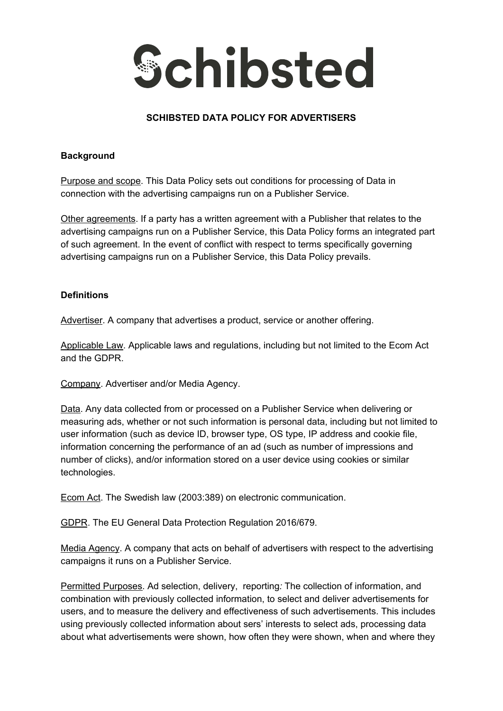

# **SCHIBSTED DATA POLICY FOR ADVERTISERS**

#### **Background**

Purpose and scope. This Data Policy sets out conditions for processing of Data in connection with the advertising campaigns run on a Publisher Service.

Other agreements. If a party has a written agreement with a Publisher that relates to the advertising campaigns run on a Publisher Service, this Data Policy forms an integrated part of such agreement. In the event of conflict with respect to terms specifically governing advertising campaigns run on a Publisher Service, this Data Policy prevails.

## **Definitions**

Advertiser. A company that advertises a product, service or another offering.

Applicable Law. Applicable laws and regulations, including but not limited to the Ecom Act and the GDPR.

Company. Advertiser and/or Media Agency.

Data. Any data collected from or processed on a Publisher Service when delivering or measuring ads, whether or not such information is personal data, including but not limited to user information (such as device ID, browser type, OS type, IP address and cookie file, information concerning the performance of an ad (such as number of impressions and number of clicks), and/or information stored on a user device using cookies or similar technologies.

Ecom Act. The Swedish law (2003:389) on electronic communication.

GDPR. The EU General Data Protection Regulation 2016/679.

Media Agency. A company that acts on behalf of advertisers with respect to the advertising campaigns it runs on a Publisher Service.

Permitted Purposes. Ad selection, delivery, reporting*:* The collection of information, and combination with previously collected information, to select and deliver advertisements for users, and to measure the delivery and effectiveness of such advertisements. This includes using previously collected information about sers' interests to select ads, processing data about what advertisements were shown, how often they were shown, when and where they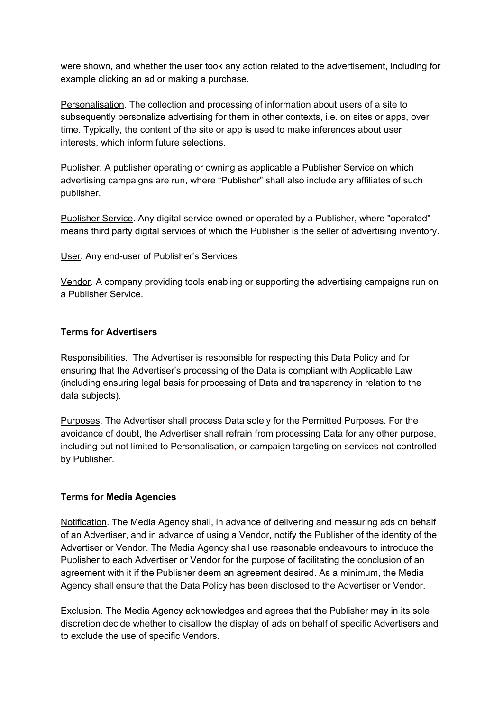were shown, and whether the user took any action related to the advertisement, including for example clicking an ad or making a purchase.

Personalisation*.* The collection and processing of information about users of a site to subsequently personalize advertising for them in other contexts, i.e. on sites or apps, over time. Typically, the content of the site or app is used to make inferences about user interests, which inform future selections.

Publisher. A publisher operating or owning as applicable a Publisher Service on which advertising campaigns are run, where "Publisher" shall also include any affiliates of such publisher.

Publisher Service. Any digital service owned or operated by a Publisher, where "operated" means third party digital services of which the Publisher is the seller of advertising inventory.

User. Any end-user of Publisher's Services

Vendor. A company providing tools enabling or supporting the advertising campaigns run on a Publisher Service.

## **Terms for Advertisers**

Responsibilities. The Advertiser is responsible for respecting this Data Policy and for ensuring that the Advertiser's processing of the Data is compliant with Applicable Law (including ensuring legal basis for processing of Data and transparency in relation to the data subjects).

Purposes. The Advertiser shall process Data solely for the Permitted Purposes*.* For the avoidance of doubt, the Advertiser shall refrain from processing Data for any other purpose, including but not limited to Personalisation, or campaign targeting on services not controlled by Publisher.

# **Terms for Media Agencies**

Notification. The Media Agency shall, in advance of delivering and measuring ads on behalf of an Advertiser, and in advance of using a Vendor, notify the Publisher of the identity of the Advertiser or Vendor. The Media Agency shall use reasonable endeavours to introduce the Publisher to each Advertiser or Vendor for the purpose of facilitating the conclusion of an agreement with it if the Publisher deem an agreement desired. As a minimum, the Media Agency shall ensure that the Data Policy has been disclosed to the Advertiser or Vendor.

**Exclusion.** The Media Agency acknowledges and agrees that the Publisher may in its sole discretion decide whether to disallow the display of ads on behalf of specific Advertisers and to exclude the use of specific Vendors.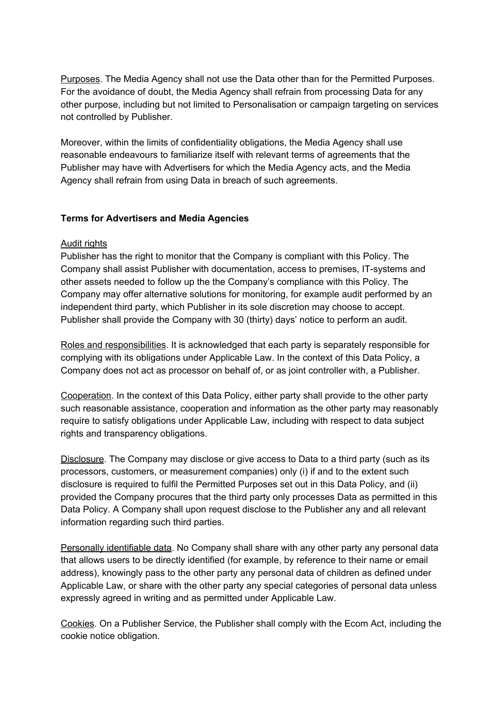Purposes. The Media Agency shall not use the Data other than for the Permitted Purposes. For the avoidance of doubt, the Media Agency shall refrain from processing Data for any other purpose, including but not limited to Personalisation or campaign targeting on services not controlled by Publisher.

Moreover, within the limits of confidentiality obligations, the Media Agency shall use reasonable endeavours to familiarize itself with relevant terms of agreements that the Publisher may have with Advertisers for which the Media Agency acts, and the Media Agency shall refrain from using Data in breach of such agreements.

## **Terms for Advertisers and Media Agencies**

#### Audit rights

Publisher has the right to monitor that the Company is compliant with this Policy. The Company shall assist Publisher with documentation, access to premises, IT-systems and other assets needed to follow up the the Company's compliance with this Policy. The Company may offer alternative solutions for monitoring, for example audit performed by an independent third party, which Publisher in its sole discretion may choose to accept. Publisher shall provide the Company with 30 (thirty) days' notice to perform an audit.

Roles and responsibilities. It is acknowledged that each party is separately responsible for complying with its obligations under Applicable Law. In the context of this Data Policy, a Company does not act as processor on behalf of, or as joint controller with, a Publisher.

Cooperation. In the context of this Data Policy, either party shall provide to the other party such reasonable assistance, cooperation and information as the other party may reasonably require to satisfy obligations under Applicable Law, including with respect to data subject rights and transparency obligations.

Disclosure. The Company may disclose or give access to Data to a third party (such as its processors, customers, or measurement companies) only (i) if and to the extent such disclosure is required to fulfil the Permitted Purposes set out in this Data Policy, and (ii) provided the Company procures that the third party only processes Data as permitted in this Data Policy. A Company shall upon request disclose to the Publisher any and all relevant information regarding such third parties.

Personally identifiable data. No Company shall share with any other party any personal data that allows users to be directly identified (for example, by reference to their name or email address), knowingly pass to the other party any personal data of children as defined under Applicable Law, or share with the other party any special categories of personal data unless expressly agreed in writing and as permitted under Applicable Law.

Cookies. On a Publisher Service, the Publisher shall comply with the Ecom Act, including the cookie notice obligation.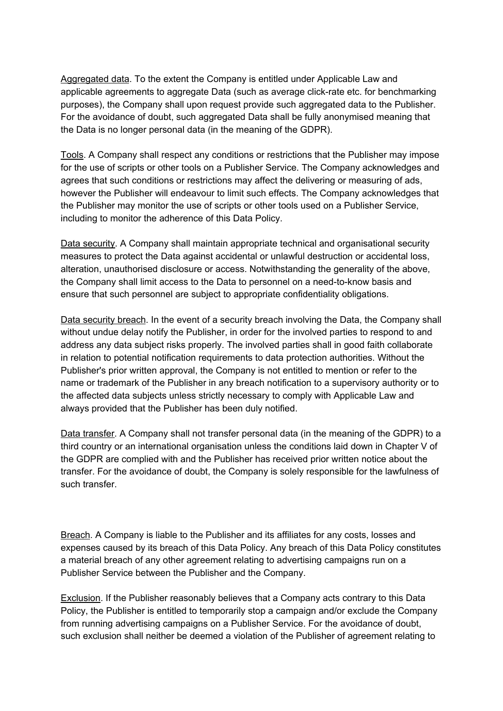Aggregated data. To the extent the Company is entitled under Applicable Law and applicable agreements to aggregate Data (such as average click-rate etc. for benchmarking purposes), the Company shall upon request provide such aggregated data to the Publisher. For the avoidance of doubt, such aggregated Data shall be fully anonymised meaning that the Data is no longer personal data (in the meaning of the GDPR).

Tools. A Company shall respect any conditions or restrictions that the Publisher may impose for the use of scripts or other tools on a Publisher Service. The Company acknowledges and agrees that such conditions or restrictions may affect the delivering or measuring of ads, however the Publisher will endeavour to limit such effects. The Company acknowledges that the Publisher may monitor the use of scripts or other tools used on a Publisher Service, including to monitor the adherence of this Data Policy.

Data security. A Company shall maintain appropriate technical and organisational security measures to protect the Data against accidental or unlawful destruction or accidental loss, alteration, unauthorised disclosure or access. Notwithstanding the generality of the above, the Company shall limit access to the Data to personnel on a need-to-know basis and ensure that such personnel are subject to appropriate confidentiality obligations.

Data security breach. In the event of a security breach involving the Data, the Company shall without undue delay notify the Publisher, in order for the involved parties to respond to and address any data subject risks properly. The involved parties shall in good faith collaborate in relation to potential notification requirements to data protection authorities. Without the Publisher's prior written approval, the Company is not entitled to mention or refer to the name or trademark of the Publisher in any breach notification to a supervisory authority or to the affected data subjects unless strictly necessary to comply with Applicable Law and always provided that the Publisher has been duly notified.

Data transfer. A Company shall not transfer personal data (in the meaning of the GDPR) to a third country or an international organisation unless the conditions laid down in Chapter V of the GDPR are complied with and the Publisher has received prior written notice about the transfer. For the avoidance of doubt, the Company is solely responsible for the lawfulness of such transfer.

Breach. A Company is liable to the Publisher and its affiliates for any costs, losses and expenses caused by its breach of this Data Policy. Any breach of this Data Policy constitutes a material breach of any other agreement relating to advertising campaigns run on a Publisher Service between the Publisher and the Company.

Exclusion. If the Publisher reasonably believes that a Company acts contrary to this Data Policy, the Publisher is entitled to temporarily stop a campaign and/or exclude the Company from running advertising campaigns on a Publisher Service. For the avoidance of doubt, such exclusion shall neither be deemed a violation of the Publisher of agreement relating to